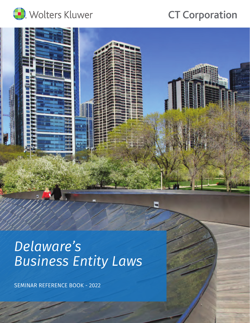

# **CT Corporation**



# *Delaware's Business Entity Laws*

SEMINAR REFERENCE BOOK - 2022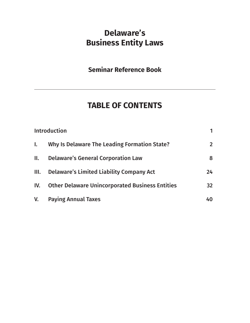## **Delaware's Business Entity Laws**

## **Seminar Reference Book**

## **TABLE OF CONTENTS**

| <b>Introduction</b> |                                                        |                 |
|---------------------|--------------------------------------------------------|-----------------|
| $\mathbf{I}$ .      | Why Is Delaware The Leading Formation State?           | 2 <sup>1</sup>  |
| II.                 | <b>Delaware's General Corporation Law</b>              | 8               |
| III.                | <b>Delaware's Limited Liability Company Act</b>        | 24              |
| IV.                 | <b>Other Delaware Unincorporated Business Entities</b> | 32 <sub>2</sub> |
| V.                  | <b>Paying Annual Taxes</b>                             | 40              |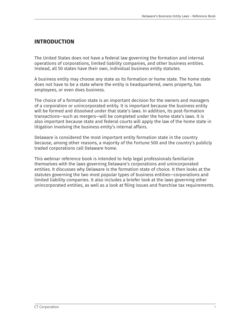#### **INTRODUCTION**

The United States does not have a federal law governing the formation and internal operations of corporations, limited liability companies, and other business entities. Instead, all 50 states have their own, individual business entity statutes.

A business entity may choose any state as its formation or home state. The home state does not have to be a state where the entity is headquartered, owns property, has employees, or even does business.

The choice of a formation state is an important decision for the owners and managers of a corporation or unincorporated entity. It is important because the business entity will be formed and dissolved under that state's laws. In addition, its post-formation transactions—such as mergers—will be completed under the home state's laws. It is also important because state and federal courts will apply the law of the home state in litigation involving the business entity's internal affairs.

Delaware is considered the most important entity formation state in the country because, among other reasons, a majority of the Fortune 500 and the country's publicly traded corporations call Delaware home.

This webinar reference book is intended to help legal professionals familiarize themselves with the laws governing Delaware's corporations and unincorporated entities. It discusses why Delaware is the formation state of choice. It then looks at the statutes governing the two most popular types of business entities—corporations and limited liability companies. It also includes a briefer look at the laws governing other unincorporated entities, as well as a look at filing issues and franchise tax requirements.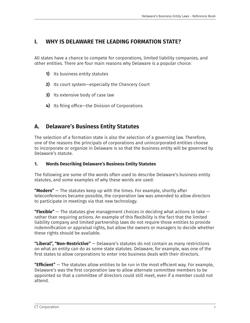## **I. WHY IS DELAWARE THE LEADING FORMATION STATE?**

All states have a chance to compete for corporations, limited liability companies, and other entities. There are four main reasons why Delaware is a popular choice:

- **1)** Its business entity statutes
- **2)** Its court system—especially the Chancery Court
- **3)** Its extensive body of case law
- **4)** Its filing office—the Division of Corporations

## **A. Delaware's Business Entity Statutes**

The selection of a formation state is also the selection of a governing law. Therefore, one of the reasons the principals of corporations and unincorporated entities choose to incorporate or organize in Delaware is so that the business entity will be governed by Delaware's statute.

#### **1. Words Describing Delaware's Business Entity Statutes**

The following are some of the words often used to describe Delaware's business entity statutes, and some examples of why these words are used:

**"Modern"** — The statutes keep up with the times. For example, shortly after teleconferences became possible, the corporation law was amended to allow directors to participate in meetings via that new technology.

**"Flexible"** — The statutes give management choices in deciding what actions to take rather than requiring actions. An example of this flexibility is the fact that the limited liability company and limited partnership laws do not require those entities to provide indemnification or appraisal rights, but allow the owners or managers to decide whether these rights should be available.

**"Liberal", "Non-Restrictive"** — Delaware's statutes do not contain as many restrictions on what an entity can do as some state statutes. Delaware, for example, was one of the first states to allow corporations to enter into business deals with their directors.

**"Efficient"** — The statutes allow entities to be run in the most efficient way. For example, Delaware's was the first corporation law to allow alternate committee members to be appointed so that a committee of directors could still meet, even if a member could not attend.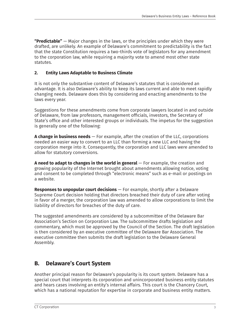**"Predictable"** — Major changes in the laws, or the principles under which they were drafted, are unlikely. An example of Delaware's commitment to predictability is the fact that the state Constitution requires a two-thirds vote of legislators for any amendment to the corporation law, while requiring a majority vote to amend most other state statutes.

#### **2. Entity Laws Adaptable to Business Climate**

It is not only the substantive content of Delaware's statutes that is considered an advantage. It is also Delaware's ability to keep its laws current and able to meet rapidly changing needs. Delaware does this by considering and enacting amendments to the laws every year.

Suggestions for these amendments come from corporate lawyers located in and outside of Delaware, from law professors, management officials, investors, the Secretary of State's office and other interested groups or individuals. The impetus for the suggestion is generally one of the following:

**A change in business needs** — For example, after the creation of the LLC, corporations needed an easier way to convert to an LLC than forming a new LLC and having the corporation merge into it. Consequently, the corporation and LLC laws were amended to allow for statutory conversions.

**A need to adapt to changes in the world in general** — For example, the creation and growing popularity of the Internet brought about amendments allowing notice, voting and consent to be completed through "electronic means" such as e-mail or postings on a website.

**Responses to unpopular court decisions** — For example, shortly after a Delaware Supreme Court decision holding that directors breached their duty of care after voting in favor of a merger, the corporation law was amended to allow corporations to limit the liability of directors for breaches of the duty of care.

The suggested amendments are considered by a subcommittee of the Delaware Bar Association's Section on Corporation Law. The subcommittee drafts legislation and commentary, which must be approved by the Council of the Section. The draft legislation is then considered by an executive committee of the Delaware Bar Association. The executive committee then submits the draft legislation to the Delaware General Assembly.

## **B. Delaware's Court System**

Another principal reason for Delaware's popularity is its court system. Delaware has a special court that interprets its corporation and unincorporated business entity statutes and hears cases involving an entity's internal affairs. This court is the Chancery Court, which has a national reputation for expertise in corporate and business entity matters.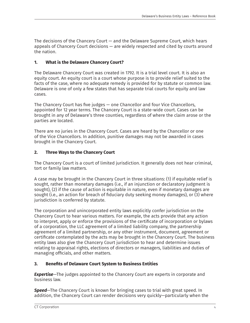The decisions of the Chancery Court — and the Delaware Supreme Court, which hears appeals of Chancery Court decisions — are widely respected and cited by courts around the nation.

#### **1. What is the Delaware Chancery Court?**

The Delaware Chancery Court was created in 1792. It is a trial level court. It is also an equity court. An equity court is a court whose purpose is to provide relief suited to the facts of the case, where no adequate remedy is provided for by statute or common law. Delaware is one of only a few states that has separate trial courts for equity and law cases.

The Chancery Court has five judges — one Chancellor and four Vice Chancellors, appointed for 12 year terms. The Chancery Court is a state-wide court. Cases can be brought in any of Delaware's three counties, regardless of where the claim arose or the parties are located.

There are no juries in the Chancery Court. Cases are heard by the Chancellor or one of the Vice Chancellors. In addition, punitive damages may not be awarded in cases brought in the Chancery Court.

#### **2. Three Ways to the Chancery Court**

The Chancery Court is a court of limited jurisdiction. It generally does not hear criminal, tort or family law matters.

A case may be brought in the Chancery Court in three situations: (1) if equitable relief is sought, rather than monetary damages (i.e., if an injunction or declaratory judgment is sought), (2) if the cause of action is equitable in nature, even if monetary damages are sought (i.e., an action for breach of fiduciary duty seeking money damages), or (3) where jurisdiction is conferred by statute.

The corporation and unincorporated entity laws explicitly confer jurisdiction on the Chancery Court to hear various matters. For example, the acts provide that any action to interpret, apply or enforce the provisions of the certificate of incorporation or bylaws of a corporation, the LLC agreement of a limited liability company, the partnership agreement of a limited partnership, or any other instrument, document, agreement or certificate contemplated by the acts may be brought in the Chancery Court. The business entity laws also give the Chancery Court jurisdiction to hear and determine issues relating to appraisal rights, elections of directors or managers, liabilities and duties of managing officials, and other matters.

#### **3. Benefits of Delaware Court System to Business Entities**

*Expertise*—The judges appointed to the Chancery Court are experts in corporate and business law.

*Speed*—The Chancery Court is known for bringing cases to trial with great speed. In addition, the Chancery Court can render decisions very quickly—particularly when the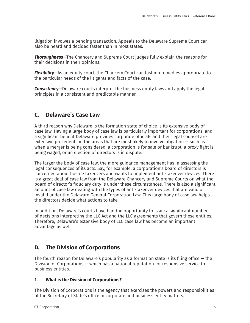litigation involves a pending transaction. Appeals to the Delaware Supreme Court can also be heard and decided faster than in most states.

*Thoroughness*—The Chancery and Supreme Court judges fully explain the reasons for their decisions in their opinions.

*Flexibility*—As an equity court, the Chancery Court can fashion remedies appropriate to the particular needs of the litigants and facts of the case.

*Consistency*—Delaware courts interpret the business entity laws and apply the legal principles in a consistent and predictable manner.

## **C. Delaware's Case Law**

A third reason why Delaware is the formation state of choice is its extensive body of case law. Having a large body of case law is particularly important for corporations, and a significant benefit Delaware provides corporate officials and their legal counsel are extensive precedents in the areas that are most likely to involve litigation — such as when a merger is being considered, a corporation is for sale or bankrupt, a proxy fight is being waged, or an election of directors is in dispute.

The larger the body of case law, the more guidance management has in assessing the legal consequences of its acts. Say, for example, a corporation's board of directors is concerned about hostile takeovers and wants to implement anti-takeover devices. There is a great deal of case law from the Delaware Chancery and Supreme Courts on what the board of director's fiduciary duty is under these circumstances. There is also a significant amount of case law dealing with the types of anti-takeover devices that are valid or invalid under the Delaware General Corporation Law. This large body of case law helps the directors decide what actions to take.

In addition, Delaware's courts have had the opportunity to issue a significant number of decisions interpreting the LLC Act and the LLC agreements that govern these entities. Therefore, Delaware's extensive body of LLC case law has become an important advantage as well.

## **D. The Division of Corporations**

The fourth reason for Delaware's popularity as a formation state is its filing office  $-$  the Division of Corporations — which has a national reputation for responsive service to business entities.

#### **1. What is the Division of Corporations?**

The Division of Corporations is the agency that exercises the powers and responsibilities of the Secretary of State's office in corporate and business entity matters.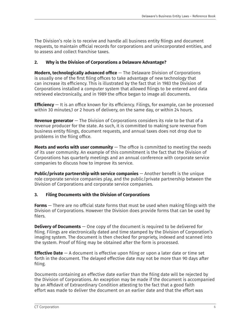The Division's role is to receive and handle all business entity filings and document requests, to maintain official records for corporations and unincorporated entities, and to assess and collect franchise taxes.

#### **2. Why is the Division of Corporations a Delaware Advantage?**

**Modern, technologically advanced office** — The Delaware Division of Corporations is usually one of the first filing offices to take advantage of new technology that can increase its efficiency. This is illustrated by the fact that in 1983 the Division of Corporations installed a computer system that allowed filings to be entered and data retrieved electronically, and in 1989 the office began to image all documents.

**Efficiency** — It is an office known for its efficiency. Filings, for example, can be processed within 30 minutes,1 or 2 hours of delivery, on the same day, or within 24 hours.

**Revenue generator** — The Division of Corporations considers its role to be that of a revenue producer for the state. As such, it is committed to making sure revenue from business entity filings, document requests, and annual taxes does not drop due to problems in the filing office.

**Meets and works with user community** — The office is committed to meeting the needs of its user community. An example of this commitment is the fact that the Division of Corporations has quarterly meetings and an annual conference with corporate service companies to discuss how to improve its service.

**Public/private partnership with service companies** — Another benefit is the unique role corporate service companies play, and the public/private partnership between the Division of Corporations and corporate service companies.

#### **3. Filing Documents with the Division of Corporations**

**Forms** — There are no official state forms that must be used when making filings with the Division of Corporations. However the Division does provide forms that can be used by filers.

**Delivery of Documents** — One copy of the document is required to be delivered for filing. Filings are electronically dated and time stamped by the Division of Corporation's imaging system. The document is then checked for propriety, indexed and scanned into the system. Proof of filing may be obtained after the form is processed.

**Effective Date** — A document is effective upon filing or upon a later date or time set forth in the document. The delayed effective date may not be more than 90 days after filing.

Documents containing an effective date earlier than the filing date will be rejected by the Division of Corporations. An exception may be made if the document is accompanied by an Affidavit of Extraordinary Condition attesting to the fact that a good faith effort was made to deliver the document on an earlier date and that the effort was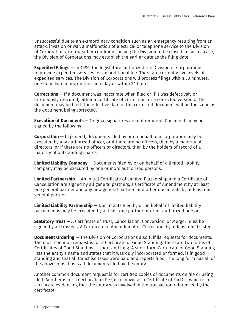unsuccessful due to an extraordinary condition such as an emergency resulting from an attack, invasion or war, a malfunction of electrical or telephone service to the Division of Corporations, or a weather condition causing the Division to be closed. In such a case, the Division of Corporations may establish the earlier date as the filing date.

**Expedited Filings** — In 1986, the legislature authorized the Division of Corporations to provide expedited services for an additional fee. There are currently five levels of expedited services. The Division of Corporations will process filings within 30 minutes, one hour, two hours, on the same day or within 24 hours.

**Corrections** — If a document was inaccurate when filed or if it was defectively or erroneously executed, either a Certificate of Correction, or a corrected version of the document may be filed. The effective date of the corrected document will be the same as the document being corrected.

**Execution of Documents** — Original signatures are not required. Documents may be signed by the following:

**Corporation** — In general, documents filed by or on behalf of a corporation may be executed by any authorized officer, or if there are no officers, then by a majority of directors, or if there are no officers or directors, then by the holders of record of a majority of outstanding shares.

**Limited Liability Company** — Documents filed by or on behalf of a limited liability company may be executed by one or more authorized persons.

**Limited Partnership** — An initial Certificate of Limited Partnership and a Certificate of Cancellation are signed by all general partners; a Certificate of Amendment by at least one general partner and any new general partner; and other documents by at least one general partner.

**Limited Liability Partnership** — Documents filed by or on behalf of limited liability partnerships may be executed by at least one partner or other authorized person.

**Statutory Trust** — A Certificate of Trust, Cancellation, Conversion, or Merger must be signed by all trustees. A Certificate of Amendment or Correction, by at least one trustee.

**Document Ordering** — The Division of Corporations also fulfills requests for documents. The most common request is for a Certificate of Good Standing. There are two forms of Certificates of Good Standing — short and long. A short form Certificate of Good Standing lists the entity's name and states that it was duly incorporated or formed, is in good standing and that all franchise taxes were paid and reports filed. The long form has all of the above, plus it lists all documents filed by the entity.

Another common document request is for certified copies of documents on file or being filed. Another is for a Certificate in Re (also known as a Certificate of Fact) — which is a certificate evidencing that the entity was involved in the transaction referenced by the certificate.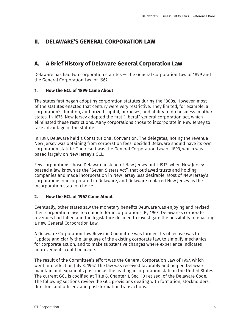## **II. DELAWARE'S GENERAL CORPORATION LAW**

## **A. A Brief History of Delaware General Corporation Law**

Delaware has had two corporation statutes — The General Corporation Law of 1899 and the General Corporation Law of 1967.

#### **1. How the GCL of 1899 Came About**

The states first began adopting corporation statutes during the 1800s. However, most of the statutes enacted that century were very restrictive. They limited, for example, a corporation's duration, authorized capital, purposes, and ability to do business in other states. In 1875, New Jersey adopted the first "liberal" general corporation act, which eliminated these restrictions. Many corporations chose to incorporate in New Jersey to take advantage of the statute.

In 1897, Delaware held a Constitutional Convention. The delegates, noting the revenue New Jersey was obtaining from corporation fees, decided Delaware should have its own corporation statute. The result was the General Corporation Law of 1899, which was based largely on New Jersey's GCL.

Few corporations chose Delaware instead of New Jersey until 1913, when New Jersey passed a law known as the "Seven Sisters Act", that outlawed trusts and holding companies and made incorporation in New Jersey less desirable. Most of New Jersey's corporations reincorporated in Delaware, and Delaware replaced New Jersey as the incorporation state of choice.

#### **2. How the GCL of 1967 Came About**

Eventually, other states saw the monetary benefits Delaware was enjoying and revised their corporation laws to compete for incorporations. By 1963, Delaware's corporate revenues had fallen and the legislature decided to investigate the possibility of enacting a new General Corporation Law.

A Delaware Corporation Law Revision Committee was formed. Its objective was to "update and clarify the language of the existing corporate law, to simplify mechanics for corporate action, and to make substantive changes where experience indicates improvements could be made."

The result of the Committee's effort was the General Corporation Law of 1967, which went into effect on July 3, 1967. The law was received favorably and helped Delaware maintain and expand its position as the leading incorporation state in the United States. The current GCL is codified at Title 8, Chapter 1, Sec. 101 et seq. of the Delaware Code. The following sections review the GCL provisions dealing with formation, stockholders, directors and officers, and post-formation transactions.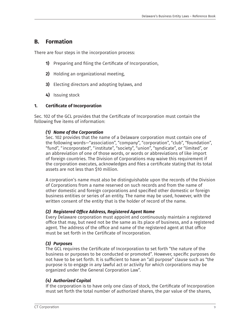## **B. Formation**

There are four steps in the incorporation process:

- **1)** Preparing and filing the Certificate of Incorporation,
- **2)** Holding an organizational meeting,
- **3)** Electing directors and adopting bylaws, and
- **4)** Issuing stock

#### **1. Certificate of Incorporation**

Sec. 102 of the GCL provides that the Certificate of Incorporation must contain the following five items of information:

#### *(1) Name of the Corporation*

 Sec. 102 provides that the name of a Delaware corporation must contain one of the following words—"association", "company", "corporation", "club", "foundation", "fund", "incorporated", "institute", "society", "union", "syndicate", or "limited", or an abbreviation of one of those words, or words or abbreviations of like import of foreign countries. The Division of Corporations may waive this requirement if the corporation executes, acknowledges and files a certificate stating that its total assets are not less than \$10 million.

 A corporation's name must also be distinguishable upon the records of the Division of Corporations from a name reserved on such records and from the name of other domestic and foreign corporations and specified other domestic or foreign business entities or series of an entity. The name may be used, however, with the written consent of the entity that is the holder of record of the name.

#### *(2) Registered Office Address, Registered Agent Name*

 Every Delaware corporation must appoint and continuously maintain a registered office that may, but need not be the same as its place of business, and a registered agent. The address of the office and name of the registered agent at that office must be set forth in the Certificate of Incorporation.

#### *(3) Purposes*

 The GCL requires the Certificate of Incorporation to set forth "the nature of the business or purposes to be conducted or promoted". However, specific purposes do not have to be set forth. It is sufficient to have an "all purpose" clause such as "the purpose is to engage in any lawful act or activity for which corporations may be organized under the General Corporation Law".

#### *(4) Authorized Capital*

 If the corporation is to have only one class of stock, the Certificate of Incorporation must set forth the total number of authorized shares, the par value of the shares,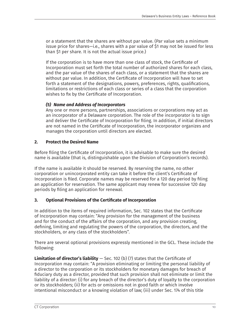or a statement that the shares are without par value. (Par value sets a minimum issue price for shares—i.e., shares with a par value of \$1 may not be issued for less than \$1 per share. It is not the actual issue price.)

 If the corporation is to have more than one class of stock, the Certificate of Incorporation must set forth the total number of authorized shares for each class, and the par value of the shares of each class, or a statement that the shares are without par value. In addition, the Certificate of Incorporation will have to set forth a statement of the designations, powers, preferences, rights, qualifications, limitations or restrictions of each class or series of a class that the corporation wishes to fix by the Certificate of Incorporation.

#### *(5) Name and Address of Incorporators*

 Any one or more persons, partnerships, associations or corporations may act as an incorporator of a Delaware corporation. The role of the incorporator is to sign and deliver the Certificate of Incorporation for filing. In addition, if initial directors are not named in the Certificate of Incorporation, the incorporator organizes and manages the corporation until directors are elected.

#### **2. Protect the Desired Name**

Before filing the Certificate of Incorporation, it is advisable to make sure the desired name is available (that is, distinguishable upon the Division of Corporation's records).

If the name is available it should be reserved. By reserving the name, no other corporation or unincorporated entity can take it before the client's Certificate of Incorporation is filed. Corporate names may be reserved for a 120 day period by filing an application for reservation. The same applicant may renew for successive 120 day periods by filing an application for renewal.

#### **3. Optional Provisions of the Certificate of Incorporation**

In addition to the items of required information, Sec. 102 states that the Certificate of Incorporation may contain: "Any provision for the management of the business and for the conduct of the affairs of the corporation, and any provision creating, defining, limiting and regulating the powers of the corporation, the directors, and the stockholders, or any class of the stockholders".

There are several optional provisions expressly mentioned in the GCL. These include the following:

**Limitation of director's liability** — Sec. 102 (b) (7) states that the Certificate of Incorporation may contain: "A provision eliminating or limiting the personal liability of a director to the corporation or its stockholders for monetary damages for breach of fiduciary duty as a director, provided that such provision shall not eliminate or limit the liability of a director: (i) for any breach of the director's duty of loyalty to the corporation or its stockholders; (ii) for acts or omissions not in good faith or which involve intentional misconduct or a knowing violation of law; (iii) under Sec. 174 of this title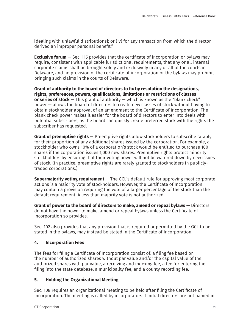[dealing with unlawful distributions]; or (iv) for any transaction from which the director derived an improper personal benefit."

**Exclusive forum** – Sec. 115 provides that the certificate of incorporation or bylaws may require, consistent with applicable jurisdictional requirements, that any or all internal corporate claims shall be brought solely and exclusively in any or all of the courts in Delaware, and no provision of the certificate of incorporation or the bylaws may prohibit bringing such claims in the courts of Delaware.

**Grant of authority to the board of directors to fix by resolution the designations, rights, preferences, powers, qualifications, limitations or restrictions of classes or series of stock** — This grant of authority — which is known as the "blank check" power — allows the board of directors to create new classes of stock without having to obtain stockholder approval of an amendment to the Certificate of Incorporation. The blank check power makes it easier for the board of directors to enter into deals with potential subscribers, as the board can quickly create preferred stock with the rights the subscriber has requested.

**Grant of preemptive rights** — Preemptive rights allow stockholders to subscribe ratably for their proportion of any additional shares issued by the corporation. For example, a stockholder who owns 10% of a corporation's stock would be entitled to purchase 100 shares if the corporation issues 1,000 new shares. Preemptive rights protect minority stockholders by ensuring that their voting power will not be watered down by new issues of stock. (In practice, preemptive rights are rarely granted to stockholders in publiclytraded corporations.)

**Supermajority voting requirement** — The GCL's default rule for approving most corporate actions is a majority vote of stockholders. However, the Certificate of Incorporation may contain a provision requiring the vote of a larger percentage of the stock than the default requirement. A less than majority vote is not authorized.

**Grant of power to the board of directors to make, amend or repeal bylaws** — Directors do not have the power to make, amend or repeal bylaws unless the Certificate of Incorporation so provides.

Sec. 102 also provides that any provision that is required or permitted by the GCL to be stated in the bylaws, may instead be stated in the Certificate of Incorporation.

#### **4. Incorporation Fees**

The fees for filing a Certificate of Incorporation consist of: a filing fee based on the number of authorized shares without par value and/or the capital value of the authorized shares with par value, a receiving and indexing fee, a fee for entering the filing into the state database, a municipality fee, and a county recording fee.

#### **5. Holding the Organizational Meeting**

Sec. 108 requires an organizational meeting to be held after filing the Certificate of Incorporation. The meeting is called by incorporators if initial directors are not named in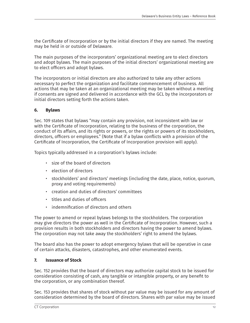the Certificate of Incorporation or by the initial directors if they are named. The meeting may be held in or outside of Delaware.

The main purposes of the incorporators' organizational meeting are to elect directors and adopt bylaws. The main purposes of the initial directors' organizational meeting are to elect officers and adopt bylaws.

The incorporators or initial directors are also authorized to take any other actions necessary to perfect the organization and facilitate commencement of business. All actions that may be taken at an organizational meeting may be taken without a meeting if consents are signed and delivered in accordance with the GCL by the incorporators or initial directors setting forth the actions taken.

#### **6. Bylaws**

Sec. 109 states that bylaws "may contain any provision, not inconsistent with law or with the Certificate of Incorporation, relating to the business of the corporation, the conduct of its affairs, and its rights or powers, or the rights or powers of its stockholders, directors, officers or employees." (Note that if a bylaw conflicts with a provision of the Certificate of Incorporation, the Certificate of Incorporation provision will apply).

Topics typically addressed in a corporation's bylaws include:

- size of the board of directors
- election of directors
- stockholders' and directors' meetings (including the date, place, notice, quorum, proxy and voting requirements)
- creation and duties of directors' committees
- titles and duties of officers
- indemnification of directors and others

The power to amend or repeal bylaws belongs to the stockholders. The corporation may give directors the power as well in the Certificate of Incorporation. However, such a provision results in both stockholders and directors having the power to amend bylaws. The corporation may not take away the stockholders' right to amend the bylaws.

The board also has the power to adopt emergency bylaws that will be operative in case of certain attacks, disasters, catastrophes, and other enumerated events.

#### **7. Issuance of Stock**

Sec. 152 provides that the board of directors may authorize capital stock to be issued for consideration consisting of cash, any tangible or intangible property, or any benefit to the corporation, or any combination thereof.

Sec. 153 provides that shares of stock without par value may be issued for any amount of consideration determined by the board of directors. Shares with par value may be issued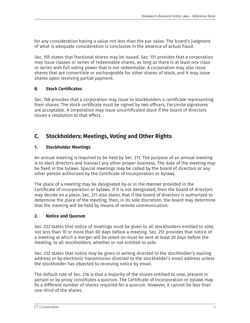for any consideration having a value not less than the par value. The board's judgment of what is adequate consideration is conclusive in the absence of actual fraud.

Sec. 155 states that fractional shares may be issued. Sec. 151 provides that a corporation may issue classes or series of redeemable shares, as long as there is at least one class or series with full voting power that is not redeemable. A corporation may also issue shares that are convertible or exchangeable for other shares of stock, and it may issue shares upon receiving partial payment.

#### **8. Stock Certificates**

Sec. 158 provides that a corporation may issue to stockholders a certificate representing their shares. The stock certificate must be signed by two officers. Facsimile signatures are acceptable. A corporation may issue uncertificated stock if the board of directors issues a resolution to that effect.

## **C. Stockholders: Meetings, Voting and Other Rights**

#### **1. Stockholder Meetings**

An annual meeting is required to be held by Sec. 211. The purpose of an annual meeting is to elect directors and transact any other proper business. The date of the meeting may be fixed in the bylaws. Special meetings may be called by the board of directors or any other person authorized by the Certificate of Incorporation or bylaws.

The place of a meeting may be designated by or in the manner provided in the Certificate of Incorporation or bylaws. If it is not designated, then the board of directors may decide on a place. Sec. 211 also states that if the board of directors is authorized to determine the place of the meeting, then, in its sole discretion, the board may determine that the meeting will be held by means of remote communication.

#### **2. Notice and Quorum**

Sec. 222 states that notice of meetings must be given to all stockholders entitled to vote, not less than 10 or more than 60 days before a meeting. Sec. 251 provides that notice of a meeting at which a merger will be voted on must be sent at least 20 days before the meeting, to all stockholders, whether or not entitled to vote.

Sec. 232 states that notice may be given in writing directed to the stockholder's mailing address or by electronic transmission directed to the stockholder's email address unless the stockholder has objected to receiving notice by email.

The default rule of Sec. 216 is that a majority of the shares entitled to vote, present in person or by proxy constitutes a quorum. The Certificate of Incorporation or bylaws may fix a different number of shares required for a quorum. However, it cannot be less than one-third of the shares.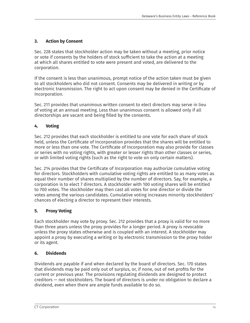#### **3. Action by Consent**

Sec. 228 states that stockholder action may be taken without a meeting, prior notice or vote if consents by the holders of stock sufficient to take the action at a meeting at which all shares entitled to vote were present and voted, are delivered to the corporation.

If the consent is less than unanimous, prompt notice of the action taken must be given to all stockholders who did not consent. Consents may be delivered in writing or by electronic transmission. The right to act upon consent may be denied in the Certificate of Incorporation.

Sec. 211 provides that unanimous written consent to elect directors may serve in lieu of voting at an annual meeting. Less than unanimous consent is allowed only if all directorships are vacant and being filled by the consents.

#### **4. Voting**

Sec. 212 provides that each stockholder is entitled to one vote for each share of stock held, unless the Certificate of Incorporation provides that the shares will be entitled to more or less than one vote. The Certificate of Incorporation may also provide for classes or series with no voting rights, with greater or lesser rights than other classes or series, or with limited voting rights (such as the right to vote on only certain matters).

Sec. 214 provides that the Certificate of Incorporation may authorize cumulative voting for directors. Stockholders with cumulative voting rights are entitled to as many votes as equal their number of shares multiplied by the number of directors. Say, for example, a corporation is to elect 7 directors. A stockholder with 100 voting shares will be entitled to 700 votes. The stockholder may then cast all votes for one director or divide the votes among the various candidates. Cumulative voting increases minority stockholders' chances of electing a director to represent their interests.

#### **5. Proxy Voting**

Each stockholder may vote by proxy. Sec. 212 provides that a proxy is valid for no more than three years unless the proxy provides for a longer period. A proxy is revocable unless the proxy states otherwise and is coupled with an interest. A stockholder may appoint a proxy by executing a writing or by electronic transmission to the proxy holder or its agent.

#### **6. Dividends**

Dividends are payable if and when declared by the board of directors. Sec. 170 states that dividends may be paid only out of surplus, or, if none, out of net profits for the current or previous year. The provisions regulating dividends are designed to protect creditors — not stockholders. The board of directors is under no obligation to declare a dividend, even when there are ample funds available to do so.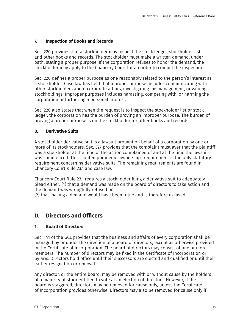#### **7. Inspection of Books and Records**

Sec. 220 provides that a stockholder may inspect the stock ledger, stockholder list, and other books and records. The stockholder must make a written demand, under oath, stating a proper purpose. If the corporation refuses to honor the demand, the stockholder may apply to the Chancery Court for an order to compel the inspection.

Sec. 220 defines a proper purpose as one reasonably related to the person's interest as a stockholder. Case law has held that a proper purpose includes communicating with other stockholders about corporate affairs, investigating mismanagement, or valuing stockholdings. Improper purposes includes harassing, competing with, or harming the corporation or furthering a personal interest.

Sec. 220 also states that when the request is to inspect the stockholder list or stock ledger, the corporation has the burden of proving an improper purpose. The burden of proving a proper purpose is on the stockholder for other books and records.

#### **8. Derivative Suits**

A stockholder derivative suit is a lawsuit brought on behalf of a corporation by one or more of its stockholders. Sec. 327 provides that the complaint must aver that the plaintiff was a stockholder at the time of the action complained of and at the time the lawsuit was commenced. This "contemporaneous ownership" requirement is the only statutory requirement concerning derivative suits. The remaining requirements are found in Chancery Court Rule 23.1 and case law.

Chancery Court Rule 23.1 requires a stockholder filing a derivative suit to adequately plead either: (1) that a demand was made on the board of directors to take action and the demand was wrongfully refused or

(2) that making a demand would have been futile and is therefore excused.

## **D. Directors and Officers**

#### **1. Board of Directors**

Sec. 141 of the GCL provides that the business and affairs of every corporation shall be managed by or under the direction of a board of directors, except as otherwise provided in the Certificate of Incorporation. The board of directors may consist of one or more members. The number of directors may be fixed in the Certificate of Incorporation or bylaws. Directors hold office until their successors are elected and qualified or until their earlier resignation or removal.

Any director, or the entire board, may be removed with or without cause by the holders of a majority of stock entitled to vote at an election of directors. However, if the board is staggered, directors may be removed for cause only, unless the Certificate of Incorporation provides otherwise. Directors may also be removed for cause only if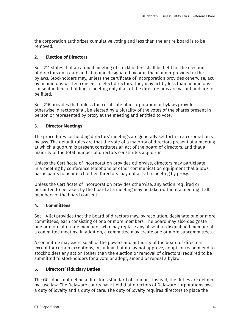the corporation authorizes cumulative voting and less than the entire board is to be removed.

#### **2. Election of Directors**

Sec. 211 states that an annual meeting of stockholders shall be held for the election of directors on a date and at a time designated by or in the manner provided in the bylaws. Stockholders may, unless the certificate of incorporation provides otherwise, act by unanimous written consent to elect directors. They may act by less than unanimous consent in lieu of holding a meeting only if all of the directorships are vacant and are to be filled.

Sec. 216 provides that unless the certificate of incorporation or bylaws provide otherwise, directors shall be elected by a plurality of the votes of the shares present in person or represented by proxy at the meeting and entitled to vote.

#### **3. Director Meetings**

The procedures for holding directors' meetings are generally set forth in a corporation's bylaws. The default rules are that the vote of a majority of directors present at a meeting at which a quorum is present constitutes an act of the board of directors, and that a majority of the total number of directors constitutes a quorum.

Unless the Certificate of Incorporation provides otherwise, directors may participate in a meeting by conference telephone or other communication equipment that allows participants to hear each other. Directors may not act at a meeting by proxy.

Unless the Certificate of Incorporation provides otherwise, any action required or permitted to be taken by the board at a meeting may be taken without a meeting if all members of the board consent.

#### **4. Committees**

Sec. 141(c) provides that the board of directors may, by resolution, designate one or more committees, each consisting of one or more members. The board may also designate one or more alternate members, who may replace any absent or disqualified member at a committee meeting. In addition, a committee may create one or more subcommittees.

A committee may exercise all of the powers and authority of the board of directors except for certain exceptions, including that it may not approve, adopt, or recommend to stockholders any action (other than the election or removal of directors) required to be submitted to stockholders for a vote or adopt, amend or repeal a bylaw.

#### **5. Directors' Fiduciary Duties**

The GCL does not define a director's standard of conduct. Instead, the duties are defined by case law. The Delaware courts have held that directors of Delaware corporations owe a duty of loyalty and a duty of care. The duty of loyalty requires directors to place the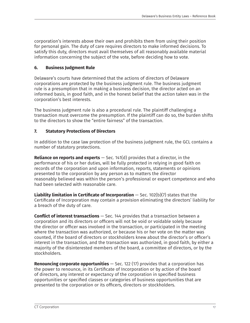corporation's interests above their own and prohibits them from using their position for personal gain. The duty of care requires directors to make informed decisions. To satisfy this duty, directors must avail themselves of all reasonably available material information concerning the subject of the vote, before deciding how to vote.

#### **6. Business Judgment Rule**

Delaware's courts have determined that the actions of directors of Delaware corporations are protected by the business judgment rule. The business judgment rule is a presumption that in making a business decision, the director acted on an informed basis, in good faith, and in the honest belief that the action taken was in the corporation's best interests.

The business judgment rule is also a procedural rule. The plaintiff challenging a transaction must overcome the presumption. If the plaintiff can do so, the burden shifts to the directors to show the "entire fairness" of the transaction.

#### **7. Statutory Protections of Directors**

In addition to the case law protection of the business judgment rule, the GCL contains a number of statutory protections.

**Reliance on reports and experts** — Sec. 141(d) provides that a director, in the performance of his or her duties, will be fully protected in relying in good faith on records of the corporation and upon information, reports, statements or opinions presented to the corporation by any person as to matters the director reasonably believed was within the person's professional or expert competence and who had been selected with reasonable care.

**Liability limitation in Certificate of Incorporation** — Sec. 102(b)(7) states that the Certificate of Incorporation may contain a provision eliminating the directors' liability for a breach of the duty of care.

**Conflict of interest transactions** — Sec. 144 provides that a transaction between a corporation and its directors or officers will not be void or voidable solely because the director or officer was involved in the transaction, or participated in the meeting where the transaction was authorized, or because his or her vote on the matter was counted, if the board of directors or stockholders knew about the director's or officer's interest in the transaction, and the transaction was authorized, in good faith, by either a majority of the disinterested members of the board, a committee of directors, or by the stockholders.

**Renouncing corporate opportunities** — Sec. 122 (17) provides that a corporation has the power to renounce, in its Certificate of Incorporation or by action of the board of directors, any interest or expectancy of the corporation in specified business opportunities or specified classes or categories of business opportunities that are presented to the corporation or its officers, directors or stockholders.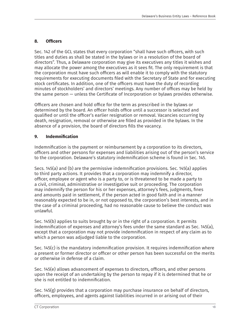#### **8. Officers**

Sec. 142 of the GCL states that every corporation "shall have such officers, with such titles and duties as shall be stated in the bylaws or in a resolution of the board of directors". Thus, a Delaware corporation may give its executives any titles it wishes and may allocate the power among the executives as it sees fit. The only requirement is that the corporation must have such officers as will enable it to comply with the statutory requirements for executing documents filed with the Secretary of State and for executing stock certificates. In addition, one of the officers must have the duty of recording minutes of stockholders' and directors' meetings. Any number of offices may be held by the same person — unless the Certificate of Incorporation or bylaws provides otherwise.

Officers are chosen and hold office for the term as prescribed in the bylaws or determined by the board. An officer holds office until a successor is selected and qualified or until the officer's earlier resignation or removal. Vacancies occurring by death, resignation, removal or otherwise are filled as provided in the bylaws. In the absence of a provision, the board of directors fills the vacancy.

#### **9. Indemnification**

Indemnification is the payment or reimbursement by a corporation to its directors, officers and other persons for expenses and liabilities arising out of the person's service to the corporation. Delaware's statutory indemnification scheme is found in Sec. 145.

Secs. 145(a) and (b) are the permissive indemnification provisions. Sec. 145(a) applies to third party actions. It provides that a corporation may indemnify a director, officer, employee or agent who is a party to, or is threatened to be made a party to a civil, criminal, administrative or investigative suit or proceeding. The corporation may indemnify the person for his or her expenses, attorney's fees, judgments, fines and amounts paid in settlement, if the person acted in good faith and in a manner reasonably expected to be in, or not opposed to, the corporation's best interests, and in the case of a criminal proceeding, had no reasonable cause to believe the conduct was unlawful.

Sec. 145(b) applies to suits brought by or in the right of a corporation. It permits indemnification of expenses and attorney's fees under the same standard as Sec. 145(a), except that a corporation may not provide indemnification in respect of any claim as to which a person was adjudged liable to the corporation.

Sec. 145(c) is the mandatory indemnification provision. It requires indemnification where a present or former director or officer or other person has been successful on the merits or otherwise in defense of a claim.

Sec. 145(e) allows advancement of expenses to directors, officers, and other persons upon the receipt of an undertaking by the person to repay if it is determined that he or she is not entitled to indemnification.

Sec.  $145(g)$  provides that a corporation may purchase insurance on behalf of directors, officers, employees, and agents against liabilities incurred in or arising out of their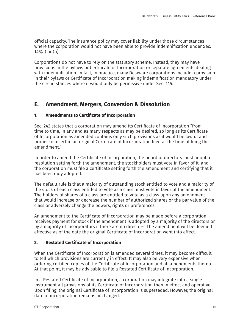official capacity. The insurance policy may cover liability under those circumstances where the corporation would not have been able to provide indemnification under Sec. 145(a) or (b).

Corporations do not have to rely on the statutory scheme. Instead, they may have provisions in the bylaws or Certificate of Incorporation or separate agreements dealing with indemnification. In fact, in practice, many Delaware corporations include a provision in their bylaws or Certificate of Incorporation making indemnification mandatory under the circumstances where it would only be permissive under Sec. 145.

## **E. Amendment, Mergers, Conversion & Dissolution**

#### **1. Amendments to Certificate of Incorporation**

Sec. 242 states that a corporation may amend its Certificate of Incorporation "from time to time, in any and as many respects as may be desired, so long as its Certificate of Incorporation as amended contains only such provisions as it would be lawful and proper to insert in an original Certificate of Incorporation filed at the time of filing the amendment."

In order to amend the Certificate of Incorporation, the board of directors must adopt a resolution setting forth the amendment, the stockholders must vote in favor of it, and the corporation must file a certificate setting forth the amendment and certifying that it has been duly adopted.

The default rule is that a majority of outstanding stock entitled to vote and a majority of the stock of each class entitled to vote as a class must vote in favor of the amendment. The holders of shares of a class are entitled to vote as a class upon any amendment that would increase or decrease the number of authorized shares or the par value of the class or adversely change the powers, rights or preferences.

An amendment to the Certificate of Incorporation may be made before a corporation receives payment for stock if the amendment is adopted by a majority of the directors or by a majority of incorporators if there are no directors. The amendment will be deemed effective as of the date the original Certificate of Incorporation went into effect.

#### **2. Restated Certificate of Incorporation**

When the Certificate of Incorporation is amended several times, it may become difficult to tell which provisions are currently in effect. It may also be very expensive when ordering certified copies of the Certificate of Incorporation and all amendments thereto. At that point, it may be advisable to file a Restated Certificate of Incorporation.

In a Restated Certificate of Incorporation, a corporation may integrate into a single instrument all provisions of its Certificate of Incorporation then in effect and operative. Upon filing, the original Certificate of Incorporation is superseded. However, the original date of incorporation remains unchanged.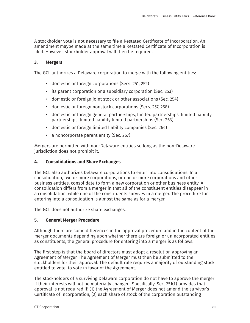A stockholder vote is not necessary to file a Restated Certificate of Incorporation. An amendment maybe made at the same time a Restated Certificate of Incorporation is filed. However, stockholder approval will then be required.

#### **3. Mergers**

The GCL authorizes a Delaware corporation to merge with the following entities:

- domestic or foreign corporations (Secs. 251, 252)
- its parent corporation or a subsidiary corporation (Sec. 253)
- domestic or foreign joint stock or other associations (Sec. 254)
- domestic or foreign nonstock corporations (Secs. 257, 258)
- domestic or foreign general partnerships, limited partnerships, limited liability partnerships, limited liability limited partnerships (Sec. 263)
- domestic or foreign limited liability companies (Sec. 264)
- a noncorporate parent entity (Sec. 267)

Mergers are permitted with non-Delaware entities so long as the non-Delaware jurisdiction does not prohibit it.

#### **4. Consolidations and Share Exchanges**

The GCL also authorizes Delaware corporations to enter into consolidations. In a consolidation, two or more corporations, or one or more corporations and other business entities, consolidate to form a new corporation or other business entity. A consolidation differs from a merger in that all of the constituent entities disappear in a consolidation, while one of the constituents survives in a merger. The procedure for entering into a consolidation is almost the same as for a merger.

The GCL does not authorize share exchanges.

#### **5. General Merger Procedure**

Although there are some differences in the approval procedure and in the content of the merger documents depending upon whether there are foreign or unincorporated entities as constituents, the general procedure for entering into a merger is as follows:

The first step is that the board of directors must adopt a resolution approving an Agreement of Merger. The Agreement of Merger must then be submitted to the stockholders for their approval. The default rule requires a majority of outstanding stock entitled to vote, to vote in favor of the Agreement.

The stockholders of a surviving Delaware corporation do not have to approve the merger if their interests will not be materially changed. Specifically, Sec. 251(f) provides that approval is not required if: (1) the Agreement of Merger does not amend the survivor's Certificate of Incorporation, (2) each share of stock of the corporation outstanding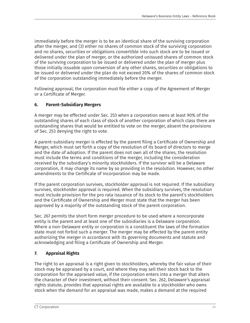immediately before the merger is to be an identical share of the surviving corporation after the merger, and (3) either no shares of common stock of the surviving corporation and no shares, securities or obligations convertible into such stock are to be issued or delivered under the plan of merger, or the authorized unissued shares of common stock of the surviving corporation to be issued or delivered under the plan of merger plus those initially issuable upon conversion of any other shares, securities or obligations to be issued or delivered under the plan do not exceed 20% of the shares of common stock of the corporation outstanding immediately before the merger.

Following approval, the corporation must file either a copy of the Agreement of Merger or a Certificate of Merger.

#### **6. Parent-Subsidiary Mergers**

A merger may be effected under Sec. 253 when a corporation owns at least 90% of the outstanding shares of each class of stock of another corporation of which class there are outstanding shares that would be entitled to vote on the merger, absent the provisions of Sec. 253 denying the right to vote.

A parent-subsidiary merger is effected by the parent filing a Certificate of Ownership and Merger, which must set forth a copy of the resolution of its board of directors to merge and the date of adoption. If the parent does not own all of the shares, the resolution must include the terms and conditions of the merger, including the consideration received by the subsidiary's minority stockholders. If the survivor will be a Delaware corporation, it may change its name by so providing in the resolution. However, no other amendments to the Certificate of Incorporation may be made.

If the parent corporation survives, stockholder approval is not required. If the subsidiary survives, stockholder approval is required. When the subsidiary survives, the resolution must include provision for the pro rata issuance of its stock to the parent's stockholders and the Certificate of Ownership and Merger must state that the merger has been approved by a majority of the outstanding stock of the parent corporation.

Sec. 267 permits the short form merger procedure to be used where a noncorporate entity is the parent and at least one of the subsidiaries is a Delaware corporation. Where a non-Delaware entity or corporation is a constituent the laws of the formation state must not forbid such a merger. The merger may be effected by the parent entity authorizing the merger in accordance with its governing documents and statute and acknowledging and filing a Certificate of Ownership and Merger.

#### **7. Appraisal Rights**

The right to an appraisal is a right given to stockholders, whereby the fair value of their stock may be appraised by a court, and where they may sell their stock back to the corporation for the appraised value, if the corporation enters into a merger that alters the character of their investment, without their consent. Sec. 262, Delaware's appraisal rights statute, provides that appraisal rights are available to a stockholder who owns stock when the demand for an appraisal was made, makes a demand at the required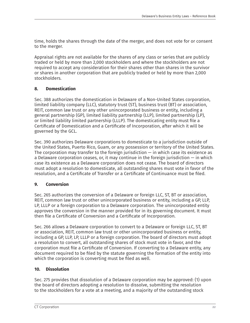time, holds the shares through the date of the merger, and does not vote for or consent to the merger.

Appraisal rights are not available for the shares of any class or series that are publicly traded or held by more than 2,000 stockholders and where the stockholders are not required to accept any consideration for their shares other than shares in the survivor or shares in another corporation that are publicly traded or held by more than 2,000 stockholders.

#### **8. Domestication**

Sec. 388 authorizes the domestication in Delaware of a Non-United States corporation, limited liability company (LLC), statutory trust (ST), business trust (BT) or association, REIT, common law trust or any other unincorporated business or entity, including a general partnership (GP), limited liability partnership (LLP), limited partnership (LP), or limited liability limited partnership (LLLP). The domesticating entity must file a Certificate of Domestication and a Certificate of Incorporation, after which it will be governed by the GCL.

Sec. 390 authorizes Delaware corporations to domesticate to a jurisdiction outside of the United States, Puerto Rico, Guam, or any possession or territory of the United States. The corporation may transfer to the foreign jurisdiction  $-$  in which case its existence as a Delaware corporation ceases, or, it may continue in the foreign jurisdiction  $-$  in which case its existence as a Delaware corporation does not cease. The board of directors must adopt a resolution to domesticate, all outstanding shares must vote in favor of the resolution, and a Certificate of Transfer or a Certificate of Continuance must be filed.

#### **9. Conversion**

Sec. 265 authorizes the conversion of a Delaware or foreign LLC, ST, BT or association, REIT, common law trust or other unincorporated business or entity, including a GP, LLP, LP, LLLP or a foreign corporation to a Delaware corporation. The unincorporated entity approves the conversion in the manner provided for in its governing document. It must then file a Certificate of Conversion and a Certificate of Incorporation.

Sec. 266 allows a Delaware corporation to convert to a Delaware or foreign LLC, ST, BT or association, REIT, common law trust or other unincorporated business or entity, including a GP, LLP, LP, LLLP or a foreign corporation. The board of directors must adopt a resolution to convert, all outstanding shares of stock must vote in favor, and the corporation must file a Certificate of Conversion. If converting to a Delaware entity, any document required to be filed by the statute governing the formation of the entity into which the corporation is converting must be filed as well.

#### **10. Dissolution**

Sec. 275 provides that dissolution of a Delaware corporation may be approved: (1) upon the board of directors adopting a resolution to dissolve, submitting the resolution to the stockholders for a vote at a meeting, and a majority of the outstanding stock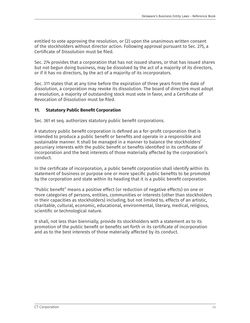entitled to vote approving the resolution, or (2) upon the unanimous written consent of the stockholders without director action. Following approval pursuant to Sec. 275, a Certificate of Dissolution must be filed.

Sec. 274 provides that a corporation that has not issued shares, or that has issued shares but not begun doing business, may be dissolved by the act of a majority of its directors, or if it has no directors, by the act of a majority of its incorporators.

Sec. 311 states that at any time before the expiration of three years from the date of dissolution, a corporation may revoke its dissolution. The board of directors must adopt a resolution, a majority of outstanding stock must vote in favor, and a Certificate of Revocation of Dissolution must be filed.

#### **11. Statutory Public Benefit Corporation**

Sec. 361 et seq. authorizes statutory public benefit corporations.

A statutory public benefit corporation is defined as a for-profit corporation that is intended to produce a public benefit or benefits and operate in a responsible and sustainable manner. It shall be managed in a manner to balance the stockholders' pecuniary interests with the public benefit or benefits identified in its certificate of incorporation and the best interests of those materially affected by the corporation's conduct.

In the certificate of incorporation, a public benefit corporation shall identify within its statement of business or purpose one or more specific public benefits to be promoted by the corporation and state within its heading that it is a public benefit corporation.

"Public benefit" means a positive effect (or reduction of negative effects) on one or more categories of persons, entities, communities or interests (other than stockholders in their capacities as stockholders) including, but not limited to, effects of an artistic, charitable, cultural, economic, educational, environmental, literary, medical, religious, scientific or technological nature.

It shall, not less than biennially, provide its stockholders with a statement as to its promotion of the public benefit or benefits set forth in its certificate of incorporation and as to the best interests of those materially affected by its conduct.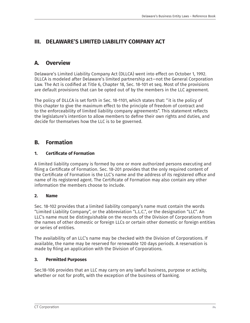## **III. DELAWARE'S LIMITED LIABILITY COMPANY ACT**

## **A. Overview**

Delaware's Limited Liability Company Act (DLLCA) went into effect on October 1, 1992. DLLCA is modeled after Delaware's limited partnership act—not the General Corporation Law. The Act is codified at Title 6, Chapter 18, Sec. 18-101 et seq. Most of the provisions are default provisions that can be opted out of by the members in the LLC agreement.

The policy of DLLCA is set forth in Sec. 18-1101, which states that: "it is the policy of this chapter to give the maximum effect to the principle of freedom of contract and to the enforceability of limited liability company agreements". This statement reflects the legislature's intention to allow members to define their own rights and duties, and decide for themselves how the LLC is to be governed.

## **B. Formation**

#### **1. Certificate of Formation**

A limited liability company is formed by one or more authorized persons executing and filing a Certificate of Formation. Sec. 18-201 provides that the only required content of the Certificate of Formation is the LLC's name and the address of its registered office and name of its registered agent. The Certificate of Formation may also contain any other information the members choose to include.

#### **2. Name**

Sec. 18-102 provides that a limited liability company's name must contain the words "Limited Liability Company", or the abbreviation "L.L.C.", or the designation "LLC". An LLC's name must be distinguishable on the records of the Division of Corporations from the names of other domestic or foreign LLCs or certain other domestic or foreign entities or series of entities.

The availability of an LLC's name may be checked with the Division of Corporations. If available, the name may be reserved for renewable 120 days periods. A reservation is made by filing an application with the Division of Corporations.

#### **3. Permitted Purposes**

Sec.18-106 provides that an LLC may carry on any lawful business, purpose or activity, whether or not for profit, with the exception of the business of banking.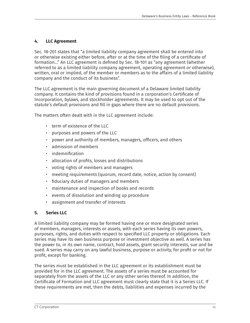#### **4. LLC Agreement**

Sec. 18-201 states that "a limited liability company agreement shall be entered into or otherwise existing either before, after or at the time of the filing of a certificate of formation…" An LLC agreement is defined by Sec. 18-101 as "any agreement (whether referred to as a limited liability company agreement, operating agreement or otherwise), written, oral or implied, of the member or members as to the affairs of a limited liability company and the conduct of its business".

The LLC agreement is the main governing document of a Delaware limited liability company. It contains the kind of provisions found in a corporation's Certificate of Incorporation, bylaws, and stockholder agreements. It may be used to opt out of the statute's default provisions and fill in gaps where there are no default provisions.

The matters often dealt with in the LLC agreement include:

- term of existence of the LLC
- purposes and powers of the LLC
- power and authority of members, managers, officers, and others
- admission of members
- indemnification
- allocation of profits, losses and distributions
- voting rights of members and managers
- meeting requirements (quorum, record date, notice, action by consent)
- fiduciary duties of managers and members
- maintenance and inspection of books and records
- events of dissolution and winding up procedure
- assignment and transfer of interests

#### **5. Series LLC**

A limited liability company may be formed having one or more designated series of members, managers, interests or assets, with each series having its own powers, purposes, rights, and duties with respect to specified LLC property or obligations. Each series may have its own business purpose or investment objective as well. A series has the power to, in its own name, contract, hold assets, grant security interests, sue and be sued. A series may carry on any lawful business, purpose or activity, for profit or not for profit, except for banking.

The series must be established in the LLC agreement or its establishment must be provided for in the LLC agreement. The assets of a series must be accounted for separately from the assets of the LLC or any other series thereof. In addition, the Certificate of Formation and LLC agreement must clearly state that it is a Series LLC. If these requirements are met, then the debts, liabilities and expenses incurred by the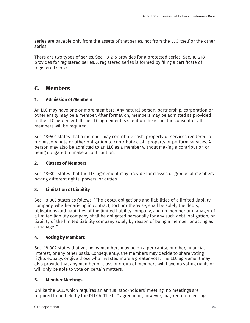series are payable only from the assets of that series, not from the LLC itself or the other series.

There are two types of series. Sec. 18-215 provides for a protected series. Sec. 18-218 provides for registered series. A registered series is formed by filing a certificate of registered series.

## **C. Members**

#### **1. Admission of Members**

An LLC may have one or more members. Any natural person, partnership, corporation or other entity may be a member. After formation, members may be admitted as provided in the LLC agreement. If the LLC agreement is silent on the issue, the consent of all members will be required.

Sec. 18-501 states that a member may contribute cash, property or services rendered, a promissory note or other obligation to contribute cash, property or perform services. A person may also be admitted to an LLC as a member without making a contribution or being obligated to make a contribution.

#### **2. Classes of Members**

Sec. 18-302 states that the LLC agreement may provide for classes or groups of members having different rights, powers, or duties.

#### **3. Limitation of Liability**

Sec. 18-303 states as follows: "The debts, obligations and liabilities of a limited liability company, whether arising in contract, tort or otherwise, shall be solely the debts, obligations and liabilities of the limited liability company, and no member or manager of a limited liability company shall be obligated personally for any such debt, obligation, or liability of the limited liability company solely by reason of being a member or acting as a manager".

#### **4. Voting by Members**

Sec. 18-302 states that voting by members may be on a per capita, number, financial interest, or any other basis. Consequently, the members may decide to share voting rights equally, or give those who invested more a greater vote. The LLC agreement may also provide that any member or class or group of members will have no voting rights or will only be able to vote on certain matters.

#### **5. Member Meetings**

Unlike the GCL, which requires an annual stockholders' meeting, no meetings are required to be held by the DLLCA. The LLC agreement, however, may require meetings,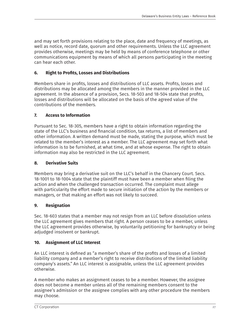and may set forth provisions relating to the place, date and frequency of meetings, as well as notice, record date, quorum and other requirements. Unless the LLC agreement provides otherwise, meetings may be held by means of conference telephone or other communications equipment by means of which all persons participating in the meeting can hear each other.

#### **6. Right to Profits, Losses and Distributions**

Members share in profits, losses and distributions of LLC assets. Profits, losses and distributions may be allocated among the members in the manner provided in the LLC agreement. In the absence of a provision, Secs. 18-503 and 18-504 state that profits, losses and distributions will be allocated on the basis of the agreed value of the contributions of the members.

#### **7. Access to Information**

Pursuant to Sec. 18-305, members have a right to obtain information regarding the state of the LLC's business and financial condition, tax returns, a list of members and other information. A written demand must be made, stating the purpose, which must be related to the member's interest as a member. The LLC agreement may set forth what information is to be furnished, at what time, and at whose expense. The right to obtain information may also be restricted in the LLC agreement.

#### **8. Derivative Suits**

Members may bring a derivative suit on the LLC's behalf in the Chancery Court. Secs. 18-1001 to 18-1004 state that the plaintiff must have been a member when filing the action and when the challenged transaction occurred. The complaint must allege with particularity the effort made to secure initiation of the action by the members or managers, or that making an effort was not likely to succeed.

#### **9. Resignation**

Sec. 18-603 states that a member may not resign from an LLC before dissolution unless the LLC agreement gives members that right. A person ceases to be a member, unless the LLC agreement provides otherwise, by voluntarily petitioning for bankruptcy or being adjudged insolvent or bankrupt.

#### **10. Assignment of LLC Interest**

An LLC interest is defined as "a member's share of the profits and losses of a limited liability company and a member's right to receive distributions of the limited liability company's assets." An LLC interest is assignable, unless the LLC agreement provides otherwise.

A member who makes an assignment ceases to be a member. However, the assignee does not become a member unless all of the remaining members consent to the assignee's admission or the assignee complies with any other procedure the members may choose.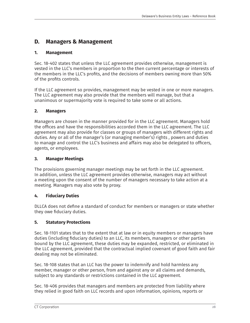## **D. Managers & Management**

#### **1. Management**

Sec. 18-402 states that unless the LLC agreement provides otherwise, management is vested in the LLC's members in proportion to the then current percentage or interests of the members in the LLC's profits, and the decisions of members owning more than 50% of the profits controls.

If the LLC agreement so provides, management may be vested in one or more managers. The LLC agreement may also provide that the members will manage, but that a unanimous or supermajority vote is required to take some or all actions.

#### **2. Managers**

Managers are chosen in the manner provided for in the LLC agreement. Managers hold the offices and have the responsibilities accorded them in the LLC agreement. The LLC agreement may also provide for classes or groups of managers with different rights and duties. Any or all of the manager's (or managing member's) rights , powers and duties to manage and control the LLC's business and affairs may also be delegated to officers, agents, or employees.

#### **3. Manager Meetings**

The provisions governing manager meetings may be set forth in the LLC agreement. In addition, unless the LLC agreement provides otherwise, managers may act without a meeting upon the consent of the number of managers necessary to take action at a meeting. Managers may also vote by proxy.

#### **4. Fiduciary Duties**

DLLCA does not define a standard of conduct for members or managers or state whether they owe fiduciary duties.

#### **5. Statutory Protections**

Sec. 18-1101 states that to the extent that at law or in equity members or managers have duties (including fiduciary duties) to an LLC, its members, managers or other parties bound by the LLC agreement, these duties may be expanded, restricted, or eliminated in the LLC agreement, provided that the contractual implied covenant of good faith and fair dealing may not be eliminated.

Sec. 18-108 states that an LLC has the power to indemnify and hold harmless any member, manager or other person, from and against any or all claims and demands, subject to any standards or restrictions contained in the LLC agreement.

Sec. 18-406 provides that managers and members are protected from liability where they relied in good faith on LLC records and upon information, opinions, reports or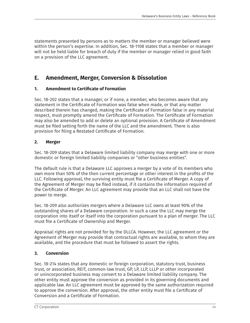statements presented by persons as to matters the member or manager believed were within the person's expertise. In addition, Sec. 18-1108 states that a member or manager will not be held liable for breach of duty if the member or manager relied in good faith on a provision of the LLC agreement.

## **E. Amendment, Merger, Conversion & Dissolution**

#### **1. Amendment to Certificate of Formation**

Sec. 18-202 states that a manager, or if none, a member, who becomes aware that any statement in the Certificate of Formation was false when made, or that any matter described therein has changed, making the Certificate of Formation false in any material respect, must promptly amend the Certificate of Formation. The Certificate of Formation may also be amended to add or delete an optional provision. A Certificate of Amendment must be filed setting forth the name of the LLC and the amendment. There is also provision for filing a Restated Certificate of Formation.

#### **2. Merger**

Sec. 18-209 states that a Delaware limited liability company may merge with one or more domestic or foreign limited liability companies or "other business entities".

The default rule is that a Delaware LLC approves a merger by a vote of its members who own more than 50% of the then current percentage or other interest in the profits of the LLC. Following approval, the surviving entity must file a Certificate of Merger. A copy of the Agreement of Merger may be filed instead, if it contains the information required of the Certificate of Merger. An LLC agreement may provide that an LLC shall not have the power to merge.

Sec. 18-209 also authorizes mergers where a Delaware LLC owns at least 90% of the outstanding shares of a Delaware corporation. In such a case the LLC may merge the corporation into itself or itself into the corporation pursuant to a plan of merger. The LLC must file a Certificate of Ownership and Merger.

Appraisal rights are not provided for by the DLLCA. However, the LLC agreement or the Agreement of Merger may provide that contractual rights are available, to whom they are available, and the procedure that must be followed to assert the rights.

#### **3. Conversion**

Sec. 18-214 states that any domestic or foreign corporation, statutory trust, business trust, or association, REIT, common-law trust, GP, LP, LLP, LLLP or other incorporated or unincorporated business may convert to a Delaware limited liability company. The other entity must approve the conversion as provided in its governing documents and applicable law. An LLC agreement must be approved by the same authorization required to approve the conversion. After approval, the other entity must file a Certificate of Conversion and a Certificate of Formation.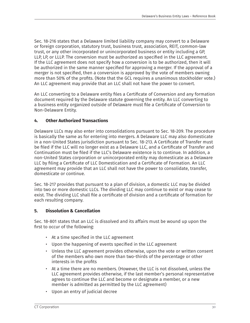Sec. 18-216 states that a Delaware limited liability company may convert to a Delaware or foreign corporation, statutory trust, business trust, association, REIT, common-law trust, or any other incorporated or unincorporated business or entity including a GP, LLP, LP, or LLLP. The conversion must be authorized as specified in the LLC agreement. If the LLC agreement does not specify how a conversion is to be authorized, then it will be authorized in the same manner specified for approving a merger. If the approval of a merger is not specified, then a conversion is approved by the vote of members owning more than 50% of the profits. (Note that the GCL requires a unanimous stockholder vote.) An LLC agreement may provide that an LLC shall not have the power to convert.

An LLC converting to a Delaware entity files a Certificate of Conversion and any formation document required by the Delaware statute governing the entity. An LLC converting to a business entity organized outside of Delaware must file a Certificate of Conversion to Non-Delaware Entity.

#### **4. Other Authorized Transactions**

Delaware LLCs may also enter into consolidations pursuant to Sec. 18-209. The procedure is basically the same as for entering into mergers. A Delaware LLC may also domesticate in a non-United States jurisdiction pursuant to Sec. 18-213. A Certificate of Transfer must be filed if the LLC will no longer exist as a Delaware LLC, and a Certificate of Transfer and Continuation must be filed if the LLC's Delaware existence is to continue. In addition, a non-United States corporation or unincorporated entity may domesticate as a Delaware LLC by filing a Certificate of LLC Domestication and a Certificate of Formation. An LLC agreement may provide that an LLC shall not have the power to consolidate, transfer, domesticate or continue.

Sec. 18-217 provides that pursuant to a plan of division, a domestic LLC may be divided into two or more domestic LLCs. The dividing LLC may continue to exist or may cease to exist. The dividing LLC shall file a certificate of division and a certificate of formation for each resulting company.

#### **5. Dissolution & Cancellation**

Sec. 18-801 states that an LLC is dissolved and its affairs must be wound up upon the first to occur of the following:

- At a time specified in the LLC agreement
- Upon the happening of events specified in the LLC agreement
- Unless the LLC agreement provides otherwise, upon the vote or written consent of the members who own more than two-thirds of the percentage or other interests in the profits
- At a time there are no members. (However, the LLC is not dissolved, unless the LLC agreement provides otherwise, if the last member's personal representative agrees to continue the LLC and become or designate a member, or a new member is admitted as permitted by the LLC agreement)
- Upon an entry of judicial decree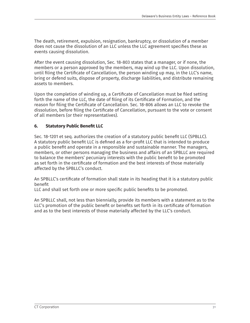The death, retirement, expulsion, resignation, bankruptcy, or dissolution of a member does not cause the dissolution of an LLC unless the LLC agreement specifies these as events causing dissolution.

After the event causing dissolution, Sec. 18-803 states that a manager, or if none, the members or a person approved by the members, may wind up the LLC. Upon dissolution, until filing the Certificate of Cancellation, the person winding up may, in the LLC's name, bring or defend suits, dispose of property, discharge liabilities, and distribute remaining assets to members.

Upon the completion of winding up, a Certificate of Cancellation must be filed setting forth the name of the LLC, the date of filing of its Certificate of Formation, and the reason for filing the Certificate of Cancellation. Sec. 18-806 allows an LLC to revoke the dissolution, before filing the Certificate of Cancellation, pursuant to the vote or consent of all members (or their representatives).

#### **6. Statutory Public Benefit LLC**

Sec. 18-1201 et seq. authorizes the creation of a statutory public benefit LLC (SPBLLC). A statutory public benefit LLC is defined as a for-profit LLC that is intended to produce a public benefit and operate in a responsible and sustainable manner. The managers, members, or other persons managing the business and affairs of an SPBLLC are required to balance the members' pecuniary interests with the public benefit to be promoted as set forth in the certificate of formation and the best interests of those materially affected by the SPBLLC's conduct.

An SPBLLC's certificate of formation shall state in its heading that it is a statutory public benefit

LLC and shall set forth one or more specific public benefits to be promoted.

An SPBLLC shall, not less than biennially, provide its members with a statement as to the LLC's promotion of the public benefit or benefits set forth in its certificate of formation and as to the best interests of those materially affected by the LLC's conduct.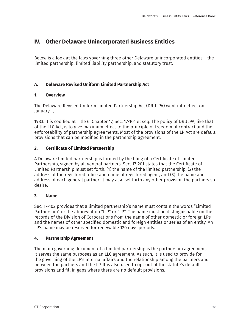## **IV. Other Delaware Unincorporated Business Entities**

Below is a look at the laws governing three other Delaware unincorporated entities —the limited partnership, limited liability partnership, and statutory trust.

#### **A. Delaware Revised Uniform Limited Partnership Act**

#### **1. Overview**

The Delaware Revised Uniform Limited Partnership Act (DRULPA) went into effect on January 1,

1983. It is codified at Title 6, Chapter 17, Sec. 17-101 et seq. The policy of DRULPA, like that of the LLC Act, is to give maximum effect to the principle of freedom of contract and the enforceability of partnership agreements. Most of the provisions of the LP Act are default provisions that can be modified in the partnership agreement.

#### **2. Certificate of Limited Partnership**

A Delaware limited partnership is formed by the filing of a Certificate of Limited Partnership, signed by all general partners. Sec. 17-201 states that the Certificate of Limited Partnership must set forth: (1) the name of the limited partnership, (2) the address of the registered office and name of registered agent, and (3) the name and address of each general partner. It may also set forth any other provision the partners so desire.

#### **3. Name**

Sec. 17-102 provides that a limited partnership's name must contain the words "Limited Partnership" or the abbreviation "L.P." or "LP". The name must be distinguishable on the records of the Division of Corporations from the name of other domestic or foreign LPs and the names of other specified domestic and foreign entities or series of an entity. An LP's name may be reserved for renewable 120 days periods.

#### **4. Partnership Agreement**

The main governing document of a limited partnership is the partnership agreement. It serves the same purposes as an LLC agreement. As such, it is used to provide for the governing of the LP's internal affairs and the relationship among the partners and between the partners and the LP. It is also used to opt out of the statute's default provisions and fill in gaps where there are no default provisions.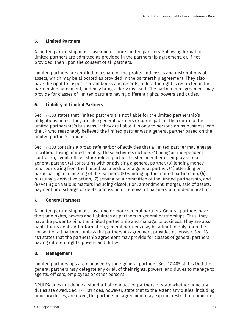#### **5. Limited Partners**

A limited partnership must have one or more limited partners. Following formation, limited partners are admitted as provided in the partnership agreement, or, if not provided, then upon the consent of all partners.

Limited partners are entitled to a share of the profits and losses and distributions of assets, which may be allocated as provided in the partnership agreement. They also have the right to inspect certain books and records, unless the right is restricted in the partnership agreement, and may bring a derivative suit. The partnership agreement may provide for classes of limited partners having different rights, powers and duties.

#### **6. Liability of Limited Partners**

Sec. 17-303 states that limited partners are not liable for the limited partnership's obligations unless they are also general partners or participate in the control of the limited partnership's business. If they are liable it is only to persons doing business with the LP who reasonably believed the limited partner was a general partner based on the limited partner's conduct.

Sec. 17-303 contains a broad safe harbor of activities that a limited partner may engage in without losing limited liability. These activities include: (1) being an independent contractor, agent, officer, stockholder, partner, trustee, member or employee of a general partner, (2) consulting with or advising a general partner, (3) lending money to or borrowing from the limited partnership or a general partner, (4) attending or participating in a meeting of the partners, (5) winding up the limited partnership, (6) pursuing a derivative action, (7) serving on a committee of the limited partnership, and (8) voting on various matters including dissolution, amendment, merger, sale of assets, payment or discharge of debts, admission or removal of partners, and indemnification.

#### **7. General Partners**

A limited partnership must have one or more general partners. General partners have the same rights, powers and liabilities as partners in general partnerships. Thus, they have the power to bind the limited partnership and manage its business. They are also liable for its debts. After formation, general partners may be admitted only upon the consent of all partners, unless the partnership agreement provides otherwise. Sec. 18- 401 states that the partnership agreement may provide for classes of general partners having different rights, powers and duties.

#### **8. Management**

Limited partnerships are managed by their general partners. Sec. 17-405 states that the general partners may delegate any or all of their rights, powers, and duties to manage to agents, officers, employees or other persons.

DRULPA does not define a standard of conduct for partners or state whether fiduciary duties are owed. Sec. 17-1101 does, however, state that to the extent any duties, including fiduciary duties, are owed, the partnership agreement may expand, restrict or eliminate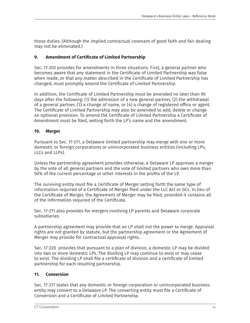those duties. (Although the implied contractual covenant of good faith and fair dealing may not be eliminated.)

#### **9. Amendment of Certificate of Limited Partnership**

Sec. 17-202 provides for amendments in three situations. First, a general partner who becomes aware that any statement in the Certificate of Limited Partnership was false when made, or that any matter described in the Certificate of Limited Partnership has changed, must promptly amend the Certificate of Limited Partnership.

In addition, the Certificate of Limited Partnership must be amended no later than 90 days after the following: (1) the admission of a new general partner, (2) the withdrawal of a general partner, (3) a change of name, or (4) a change of registered office or agent. The Certificate of Limited Partnership may also be amended to add, delete or change an optional provision. To amend the Certificate of Limited Partnership a Certificate of Amendment must be filed, setting forth the LP's name and the amendment.

#### **10. Merger**

Pursuant to Sec. 17-211, a Delaware limited partnership may merge with one or more domestic or foreign corporations or unincorporated business entities (including LPs, LLCs and LLPs).

Unless the partnership agreement provides otherwise, a Delaware LP approves a merger by the vote of all general partners and the vote of limited partners who own more than 50% of the current percentage or other interests in the profits of the LP.

The surviving entity must file a Certificate of Merger setting forth the same type of information required of a Certificate of Merger filed under the LLC Act or GCL. In lieu of the Certificate of Merger, the Agreement of Merger may be filed, provided it contains all of the information required of the Certificate.

Sec. 17-211 also provides for mergers involving LP parents and Delaware corporate subsidiaries.

A partnership agreement may provide that an LP shall not the power to merge. Appraisal rights are not granted by statute, but the partnership agreement or the Agreement of Merger may provide for contractual appraisal rights.

Sec. 17-220 provides that pursuant to a plan of division, a domestic LP may be divided into two or more domestic LPs. The dividing LP may continue to exist or may cease to exist. The dividing LP shall file a certificate of division and a certificate of limited partnership for each resulting partnership.

#### **11. Conversion**

Sec. 17-217 states that any domestic or foreign corporation or unincorporated business entity may convert to a Delaware LP. The converting entity must file a Certificate of Conversion and a Certificate of Limited Partnership.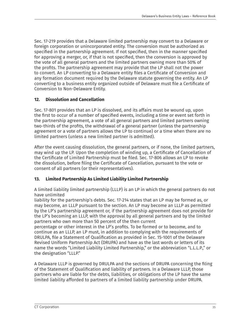Sec. 17-219 provides that a Delaware limited partnership may convert to a Delaware or foreign corporation or unincorporated entity. The conversion must be authorized as specified in the partnership agreement. If not specified, then in the manner specified for approving a merger, or, if that is not specified, then the conversion is approved by the vote of all general partners and the limited partners owning more than 50% of the profits. The partnership agreement may provide that the LP shall not the power to convert. An LP converting to a Delaware entity files a Certificate of Conversion and any formation document required by the Delaware statute governing the entity. An LP converting to a business entity organized outside of Delaware must file a Certificate of Conversion to Non-Delaware Entity.

#### **12. Dissolution and Cancellation**

Sec. 17-801 provides that an LP is dissolved, and its affairs must be wound up, upon the first to occur of a number of specified events, including a time or event set forth in the partnership agreement, a vote of all general partners and limited partners owning two-thirds of the profits, the withdrawal of a general partner (unless the partnership agreement or a vote of partners allows the LP to continue) or a time when there are no limited partners (unless a new limited partner is admitted).

After the event causing dissolution, the general partners, or if none, the limited partners, may wind up the LP. Upon the completion of winding up, a Certificate of Cancellation of the Certificate of Limited Partnership must be filed. Sec. 17-806 allows an LP to revoke the dissolution, before filing the Certificate of Cancellation, pursuant to the vote or consent of all partners (or their representatives).

#### **13. Limited Partnership As Limited Liability Limited Partnership**

A limited liability limited partnership (LLLP) is an LP in which the general partners do not have unlimited

liability for the partnership's debts. Sec. 17-214 states that an LP may be formed as, or may become, an LLLP pursuant to the section. An LP may become an LLLP as permitted by the LP's partnership agreement or, if the partnership agreement does not provide for the LP's becoming an LLLP, with the approval by all general partners and by the limited partners who own more than 50 percent of the then current

percentage or other interest in the LP's profits. To be formed or to become, and to continue as an LLLP, an LP must, in addition to complying with the requirements of DRULPA, file a Statement of Qualification as provided in Sec. 15-1001 of the Delaware Revised Uniform Partnership Act (DRUPA) and have as the last words or letters of its name the words "Limited Liability Limited Partnership," or the abbreviation "L.L.L.P.," or the designation "LLLP."

A Delaware LLLP is governed by DRULPA and the sections of DRUPA concerning the filing of the Statement of Qualification and liability of partners. In a Delaware LLLP, those partners who are liable for the debts, liabilities, or obligations of the LP have the same limited liability afforded to partners of a limited liability partnership under DRUPA.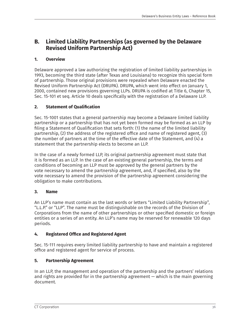## **B. Limited Liability Partnerships (as governed by the Delaware Revised Uniform Partnership Act)**

#### **1. Overview**

Delaware approved a law authorizing the registration of limited liability partnerships in 1993, becoming the third state (after Texas and Louisiana) to recognize this special form of partnership. Those original provisions were repealed when Delaware enacted the Revised Uniform Partnership Act (DRUPA). DRUPA, which went into effect on January 1, 2000, contained new provisions governing LLPs. DRUPA is codified at Title 6, Chapter 15, Sec. 15-101 et seq. Article 10 deals specifically with the registration of a Delaware LLP.

#### **2. Statement of Qualification**

Sec. 15-1001 states that a general partnership may become a Delaware limited liability partnership or a partnership that has not yet been formed may be formed as an LLP by filing a Statement of Qualification that sets forth: (1) the name of the limited liability partnership, (2) the address of the registered office and name of registered agent, (3) the number of partners at the time of the effective date of the Statement, and (4) a statement that the partnership elects to become an LLP.

In the case of a newly formed LLP, its original partnership agreement must state that it is formed as an LLP. In the case of an existing general partnership, the terms and conditions of becoming an LLP must be approved by the general partners by the vote necessary to amend the partnership agreement, and, if specified, also by the vote necessary to amend the provision of the partnership agreement considering the obligation to make contributions.

#### **3. Name**

An LLP's name must contain as the last words or letters "Limited Liability Partnership", "L.L.P." or "LLP". The name must be distinguishable on the records of the Division of Corporations from the name of other partnerships or other specified domestic or foreign entities or a series of an entity. An LLP's name may be reserved for renewable 120 days periods.

#### **4. Registered Office and Registered Agent**

Sec. 15-111 requires every limited liability partnership to have and maintain a registered office and registered agent for service of process.

#### **5. Partnership Agreement**

In an LLP, the management and operation of the partnership and the partners' relations and rights are provided for in the partnership agreement — which is the main governing document.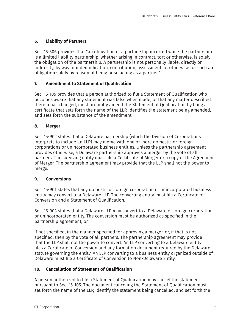#### **6. Liability of Partners**

Sec. 15-306 provides that "an obligation of a partnership incurred while the partnership is a limited liability partnership, whether arising in contract, tort or otherwise, is solely the obligation of the partnership. A partnership is not personally liable, directly or indirectly, by way of indemnification, contribution, assessment, or otherwise for such an obligation solely by reason of being or so acting as a partner."

#### **7. Amendment to Statement of Qualification**

Sec. 15-105 provides that a person authorized to file a Statement of Qualification who becomes aware that any statement was false when made, or that any matter described therein has changed, must promptly amend the Statement of Qualification by filing a certificate that sets forth the name of the LLP, identifies the statement being amended, and sets forth the substance of the amendment.

#### **8. Merger**

Sec. 15-902 states that a Delaware partnership (which the Division of Corporations interprets to include an LLP) may merge with one or more domestic or foreign corporations or unincorporated business entities. Unless the partnership agreement provides otherwise, a Delaware partnership approves a merger by the vote of all partners. The surviving entity must file a Certificate of Merger or a copy of the Agreement of Merger. The partnership agreement may provide that the LLP shall not the power to merge.

#### **9. Conversions**

Sec. 15-901 states that any domestic or foreign corporation or unincorporated business entity may convert to a Delaware LLP. The converting entity must file a Certificate of Conversion and a Statement of Qualification.

Sec. 15-903 states that a Delaware LLP may convert to a Delaware or foreign corporation or unincorporated entity. The conversion must be authorized as specified in the partnership agreement, or,

if not specified, in the manner specified for approving a merger, or, if that is not specified, then by the vote of all partners. The partnership agreement may provide that the LLP shall not the power to convert. An LLP converting to a Delaware entity files a Certificate of Conversion and any formation document required by the Delaware statute governing the entity. An LLP converting to a business entity organized outside of Delaware must file a Certificate of Conversion to Non-Delaware Entity.

#### **10. Cancellation of Statement of Qualification**

A person authorized to file a Statement of Qualification may cancel the statement pursuant to Sec. 15-105. The document canceling the Statement of Qualification must set forth the name of the LLP, identify the statement being cancelled, and set forth the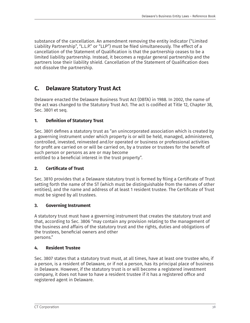substance of the cancellation. An amendment removing the entity indicator ("Limited Liability Partnership", "L.L.P." or "LLP") must be filed simultaneously. The effect of a cancellation of the Statement of Qualification is that the partnership ceases to be a limited liability partnership. Instead, it becomes a regular general partnership and the partners lose their liability shield. Cancellation of the Statement of Qualification does not dissolve the partnership.

## **C. Delaware Statutory Trust Act**

Delaware enacted the Delaware Business Trust Act (DBTA) in 1988. In 2002, the name of the act was changed to the Statutory Trust Act. The act is codified at Title 12, Chapter 38, Sec. 3801 et seq.

#### **1. Definition of Statutory Trust**

Sec. 3801 defines a statutory trust as "an unincorporated association which is created by a governing instrument under which property is or will be held, managed, administered, controlled, invested, reinvested and/or operated or business or professional activities for profit are carried on or will be carried on, by a trustee or trustees for the benefit of such person or persons as are or may become

entitled to a beneficial interest in the trust property".

#### **2. Certificate of Trust**

Sec. 3810 provides that a Delaware statutory trust is formed by filing a Certificate of Trust setting forth the name of the ST (which must be distinguishable from the names of other entities), and the name and address of at least 1 resident trustee. The Certificate of Trust must be signed by all trustees.

#### **3. Governing Instrument**

A statutory trust must have a governing instrument that creates the statutory trust and that, according to Sec. 3806 "may contain any provision relating to the management of the business and affairs of the statutory trust and the rights, duties and obligations of the trustees, beneficial owners and other persons."

#### **4. Resident Trustee**

Sec. 3807 states that a statutory trust must, at all times, have at least one trustee who, if a person, is a resident of Delaware, or if not a person, has its principal place of business in Delaware. However, if the statutory trust is or will become a registered investment company, it does not have to have a resident trustee if it has a registered office and registered agent in Delaware.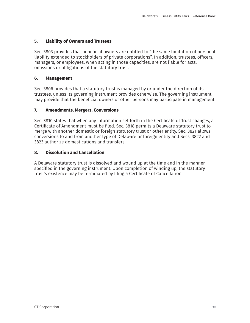#### **5. Liability of Owners and Trustees**

Sec. 3803 provides that beneficial owners are entitled to "the same limitation of personal liability extended to stockholders of private corporations". In addition, trustees, officers, managers, or employees, when acting in those capacities, are not liable for acts, omissions or obligations of the statutory trust.

#### **6. Management**

Sec. 3806 provides that a statutory trust is managed by or under the direction of its trustees, unless its governing instrument provides otherwise. The governing instrument may provide that the beneficial owners or other persons may participate in management.

#### **7. Amendments, Mergers, Conversions**

Sec. 3810 states that when any information set forth in the Certificate of Trust changes, a Certificate of Amendment must be filed. Sec. 3818 permits a Delaware statutory trust to merge with another domestic or foreign statutory trust or other entity. Sec. 3821 allows conversions to and from another type of Delaware or foreign entity and Secs. 3822 and 3823 authorize domestications and transfers.

#### **8. Dissolution and Cancellation**

A Delaware statutory trust is dissolved and wound up at the time and in the manner specified in the governing instrument. Upon completion of winding up, the statutory trust's existence may be terminated by filing a Certificate of Cancellation.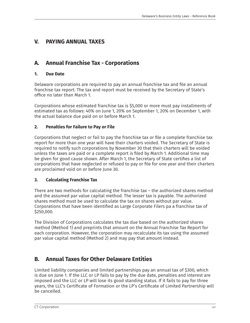## **V. PAYING ANNUAL TAXES**

## **A. Annual Franchise Tax - Corporations**

#### **1. Due Date**

Delaware corporations are required to pay an annual franchise tax and file an annual franchise tax report. The tax and report must be received by the Secretary of State's office no later than March 1.

Corporations whose estimated franchise tax is \$5,000 or more must pay installments of estimated tax as follows: 40% on June 1, 20% on September 1, 20% on December 1, with the actual balance due paid on or before March 1.

#### **2. Penalties for Failure to Pay or File**

Corporations that neglect or fail to pay the franchise tax or file a complete franchise tax report for more than one year will have their charters voided. The Secretary of State is required to notify such corporations by November 30 that their charters will be voided unless the taxes are paid or a complete report is filed by March 1. Additional time may be given for good cause shown. After March 1, the Secretary of State certifies a list of corporations that have neglected or refused to pay or file for one year and their charters are proclaimed void on or before June 30.

#### **3. Calculating Franchise Tax**

There are two methods for calculating the franchise tax – the authorized shares method and the assumed par value capital method. The lesser tax is payable. The authorized shares method must be used to calculate the tax on shares without par value. Corporations that have been identified as Large Corporate Filers pa a franchise tax of \$250,000.

The Division of Corporations calculates the tax due based on the authorized shares method (Method 1) and preprints that amount on the Annual Franchise Tax Report for each corporation. However, the corporation may recalculate its tax using the assumed par value capital method (Method 2) and may pay that amount instead.

## **B. Annual Taxes for Other Delaware Entities**

Limited liability companies and limited partnerships pay an annual tax of \$300, which is due on June 1. If the LLC or LP fails to pay by the due date, penalties and interest are imposed and the LLC or LP will lose its good standing status. If it fails to pay for three years, the LLC's Certificate of Formation or the LP's Certificate of Limited Partnership will be cancelled.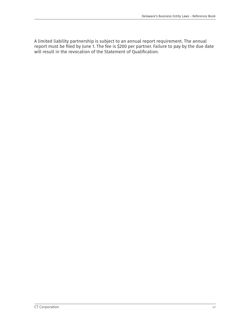A limited liability partnership is subject to an annual report requirement. The annual report must be filed by June 1. The fee is \$200 per partner. Failure to pay by the due date will result in the revocation of the Statement of Qualification.